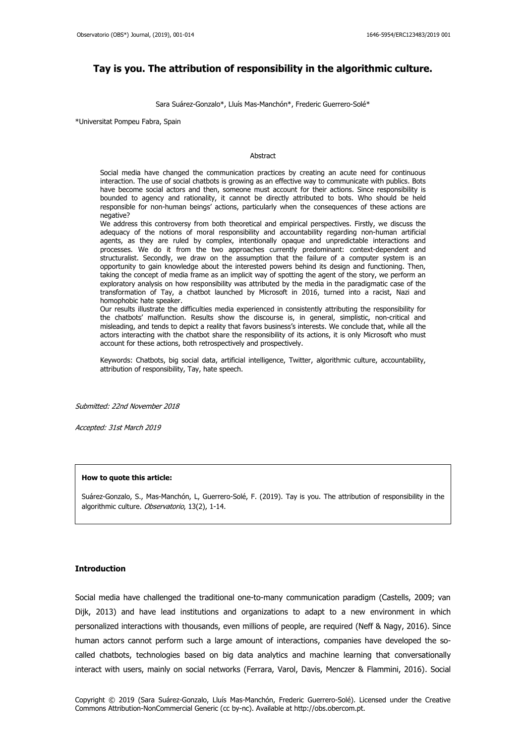# **Tay is you. The attribution of responsibility in the algorithmic culture.**

Sara Suárez-Gonzalo\*, Lluís Mas-Manchón\*, Frederic Guerrero-Solé\*

\*Universitat Pompeu Fabra, Spain

#### Abstract

Social media have changed the communication practices by creating an acute need for continuous interaction. The use of social chatbots is growing as an effective way to communicate with publics. Bots have become social actors and then, someone must account for their actions. Since responsibility is bounded to agency and rationality, it cannot be directly attributed to bots. Who should be held responsible for non-human beings' actions, particularly when the consequences of these actions are negative?

We address this controversy from both theoretical and empirical perspectives. Firstly, we discuss the adequacy of the notions of moral responsibility and accountability regarding non-human artificial agents, as they are ruled by complex, intentionally opaque and unpredictable interactions and processes. We do it from the two approaches currently predominant: context-dependent and structuralist. Secondly, we draw on the assumption that the failure of a computer system is an opportunity to gain knowledge about the interested powers behind its design and functioning. Then, taking the concept of media frame as an implicit way of spotting the agent of the story, we perform an exploratory analysis on how responsibility was attributed by the media in the paradigmatic case of the transformation of Tay, a chatbot launched by Microsoft in 2016, turned into a racist, Nazi and homophobic hate speaker.

Our results illustrate the difficulties media experienced in consistently attributing the responsibility for the chatbots' malfunction. Results show the discourse is, in general, simplistic, non-critical and misleading, and tends to depict a reality that favors business's interests. We conclude that, while all the actors interacting with the chatbot share the responsibility of its actions, it is only Microsoft who must account for these actions, both retrospectively and prospectively.

Keywords: Chatbots, big social data, artificial intelligence, Twitter, algorithmic culture, accountability, attribution of responsibility, Tay, hate speech.

Submitted: 22nd November 2018

Accepted: 31st March 2019

#### **How to quote this article:**

Suárez-Gonzalo, S., Mas-Manchón, L, Guerrero-Solé, F. (2019). Tay is you. The attribution of responsibility in the algorithmic culture. Observatorio, 13(2), 1-14.

## **Introduction**

Social media have challenged the traditional one-to-many communication paradigm (Castells, 2009; van Dijk, 2013) and have lead institutions and organizations to adapt to a new environment in which personalized interactions with thousands, even millions of people, are required (Neff & Nagy, 2016). Since human actors cannot perform such a large amount of interactions, companies have developed the socalled chatbots, technologies based on big data analytics and machine learning that conversationally interact with users, mainly on social networks (Ferrara, Varol, Davis, Menczer & Flammini, 2016). Social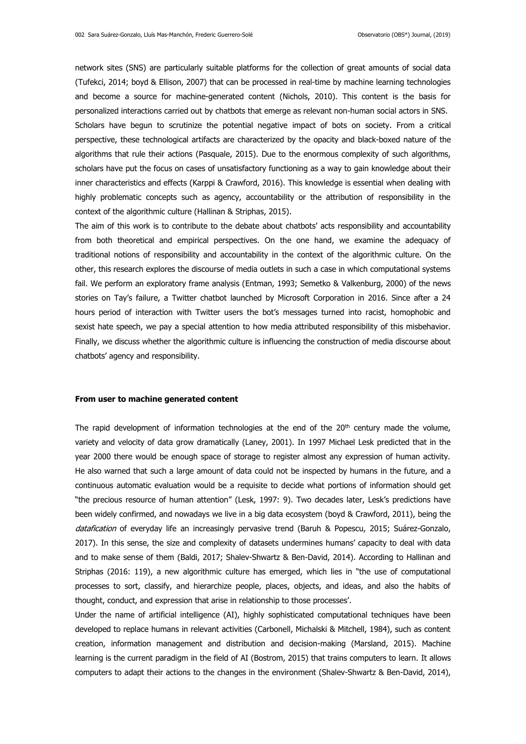network sites (SNS) are particularly suitable platforms for the collection of great amounts of social data (Tufekci, 2014; boyd & Ellison, 2007) that can be processed in real-time by machine learning technologies and become a source for machine-generated content (Nichols, 2010). This content is the basis for personalized interactions carried out by chatbots that emerge as relevant non-human social actors in SNS. Scholars have begun to scrutinize the potential negative impact of bots on society. From a critical perspective, these technological artifacts are characterized by the opacity and black-boxed nature of the algorithms that rule their actions (Pasquale, 2015). Due to the enormous complexity of such algorithms, scholars have put the focus on cases of unsatisfactory functioning as a way to gain knowledge about their inner characteristics and effects (Karppi & Crawford, 2016). This knowledge is essential when dealing with highly problematic concepts such as agency, accountability or the attribution of responsibility in the context of the algorithmic culture (Hallinan & Striphas, 2015).

The aim of this work is to contribute to the debate about chatbots' acts responsibility and accountability from both theoretical and empirical perspectives. On the one hand, we examine the adequacy of traditional notions of responsibility and accountability in the context of the algorithmic culture. On the other, this research explores the discourse of media outlets in such a case in which computational systems fail. We perform an exploratory frame analysis (Entman, 1993; Semetko & Valkenburg, 2000) of the news stories on Tay's failure, a Twitter chatbot launched by Microsoft Corporation in 2016. Since after a 24 hours period of interaction with Twitter users the bot's messages turned into racist, homophobic and sexist hate speech, we pay a special attention to how media attributed responsibility of this misbehavior. Finally, we discuss whether the algorithmic culture is influencing the construction of media discourse about chatbots' agency and responsibility.

#### **From user to machine generated content**

The rapid development of information technologies at the end of the  $20<sup>th</sup>$  century made the volume, variety and velocity of data grow dramatically (Laney, 2001). In 1997 Michael Lesk predicted that in the year 2000 there would be enough space of storage to register almost any expression of human activity. He also warned that such a large amount of data could not be inspected by humans in the future, and a continuous automatic evaluation would be a requisite to decide what portions of information should get "the precious resource of human attention" (Lesk, 1997: 9). Two decades later, Lesk's predictions have been widely confirmed, and nowadays we live in a big data ecosystem (boyd & Crawford, 2011), being the datafication of everyday life an increasingly pervasive trend (Baruh & Popescu, 2015; Suárez-Gonzalo, 2017). In this sense, the size and complexity of datasets undermines humans' capacity to deal with data and to make sense of them (Baldi, 2017; Shalev-Shwartz & Ben-David, 2014). According to Hallinan and Striphas (2016: 119), a new algorithmic culture has emerged, which lies in "the use of computational processes to sort, classify, and hierarchize people, places, objects, and ideas, and also the habits of thought, conduct, and expression that arise in relationship to those processes'.

Under the name of artificial intelligence (AI), highly sophisticated computational techniques have been developed to replace humans in relevant activities (Carbonell, Michalski & Mitchell, 1984), such as content creation, information management and distribution and decision-making (Marsland, 2015). Machine learning is the current paradigm in the field of AI (Bostrom, 2015) that trains computers to learn. It allows computers to adapt their actions to the changes in the environment (Shalev-Shwartz & Ben-David, 2014),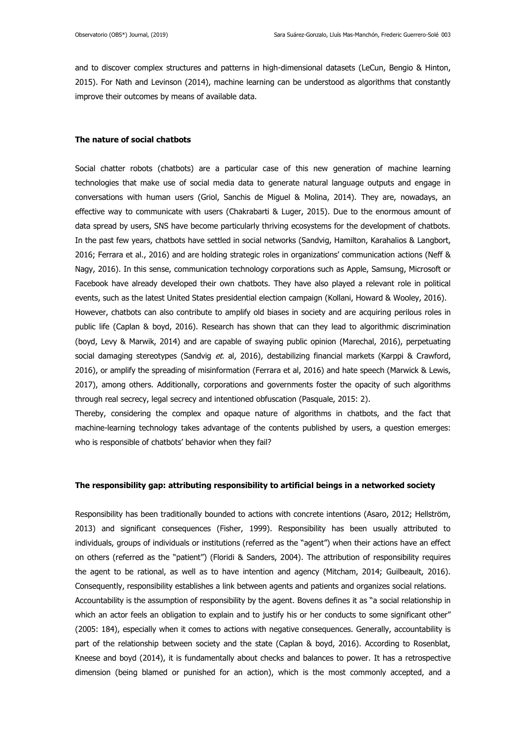and to discover complex structures and patterns in high-dimensional datasets (LeCun, Bengio & Hinton, 2015). For Nath and Levinson (2014), machine learning can be understood as algorithms that constantly improve their outcomes by means of available data.

## **The nature of social chatbots**

Social chatter robots (chatbots) are a particular case of this new generation of machine learning technologies that make use of social media data to generate natural language outputs and engage in conversations with human users (Griol, Sanchis de Miguel & Molina, 2014). They are, nowadays, an effective way to communicate with users (Chakrabarti & Luger, 2015). Due to the enormous amount of data spread by users, SNS have become particularly thriving ecosystems for the development of chatbots. In the past few years, chatbots have settled in social networks (Sandvig, Hamilton, Karahalios & Langbort, 2016; Ferrara et al., 2016) and are holding strategic roles in organizations' communication actions (Neff & Nagy, 2016). In this sense, communication technology corporations such as Apple, Samsung, Microsoft or Facebook have already developed their own chatbots. They have also played a relevant role in political events, such as the latest United States presidential election campaign (Kollani, Howard & Wooley, 2016). However, chatbots can also contribute to amplify old biases in society and are acquiring perilous roles in public life (Caplan & boyd, 2016). Research has shown that can they lead to algorithmic discrimination (boyd, Levy & Marwik, 2014) and are capable of swaying public opinion (Marechal, 2016), perpetuating social damaging stereotypes (Sandvig et. al, 2016), destabilizing financial markets (Karppi & Crawford, 2016), or amplify the spreading of misinformation (Ferrara et al, 2016) and hate speech (Marwick & Lewis, 2017), among others. Additionally, corporations and governments foster the opacity of such algorithms through real secrecy, legal secrecy and intentioned obfuscation (Pasquale, 2015: 2).

Thereby, considering the complex and opaque nature of algorithms in chatbots, and the fact that machine-learning technology takes advantage of the contents published by users, a question emerges: who is responsible of chatbots' behavior when they fail?

#### **The responsibility gap: attributing responsibility to artificial beings in a networked society**

Responsibility has been traditionally bounded to actions with concrete intentions (Asaro, 2012; Hellström, 2013) and significant consequences (Fisher, 1999). Responsibility has been usually attributed to individuals, groups of individuals or institutions (referred as the "agent") when their actions have an effect on others (referred as the "patient") (Floridi & Sanders, 2004). The attribution of responsibility requires the agent to be rational, as well as to have intention and agency (Mitcham, 2014; Guilbeault, 2016). Consequently, responsibility establishes a link between agents and patients and organizes social relations. Accountability is the assumption of responsibility by the agent. Bovens defines it as "a social relationship in which an actor feels an obligation to explain and to justify his or her conducts to some significant other" (2005: 184), especially when it comes to actions with negative consequences. Generally, accountability is part of the relationship between society and the state (Caplan & boyd, 2016). According to Rosenblat, Kneese and boyd (2014), it is fundamentally about checks and balances to power. It has a retrospective dimension (being blamed or punished for an action), which is the most commonly accepted, and a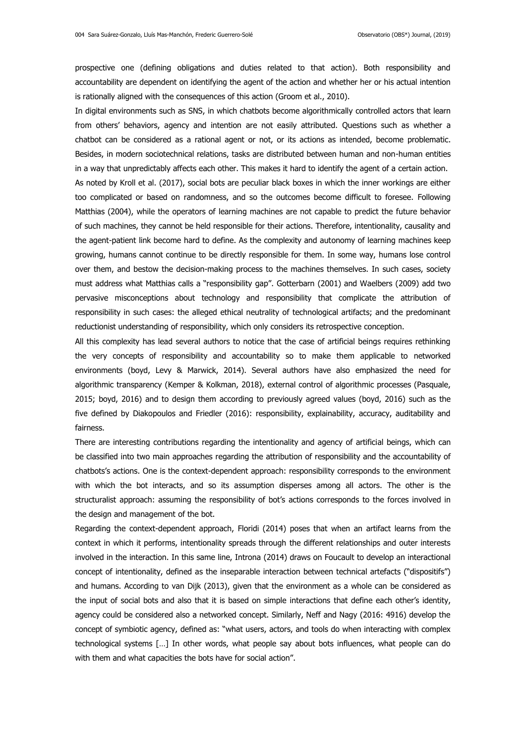prospective one (defining obligations and duties related to that action). Both responsibility and accountability are dependent on identifying the agent of the action and whether her or his actual intention is rationally aligned with the consequences of this action (Groom et al., 2010).

In digital environments such as SNS, in which chatbots become algorithmically controlled actors that learn from others' behaviors, agency and intention are not easily attributed. Questions such as whether a chatbot can be considered as a rational agent or not, or its actions as intended, become problematic. Besides, in modern sociotechnical relations, tasks are distributed between human and non-human entities in a way that unpredictably affects each other. This makes it hard to identify the agent of a certain action. As noted by Kroll et al. (2017), social bots are peculiar black boxes in which the inner workings are either too complicated or based on randomness, and so the outcomes become difficult to foresee. Following Matthias (2004), while the operators of learning machines are not capable to predict the future behavior of such machines, they cannot be held responsible for their actions. Therefore, intentionality, causality and the agent-patient link become hard to define. As the complexity and autonomy of learning machines keep growing, humans cannot continue to be directly responsible for them. In some way, humans lose control over them, and bestow the decision-making process to the machines themselves. In such cases, society must address what Matthias calls a "responsibility gap". Gotterbarn (2001) and Waelbers (2009) add two pervasive misconceptions about technology and responsibility that complicate the attribution of responsibility in such cases: the alleged ethical neutrality of technological artifacts; and the predominant reductionist understanding of responsibility, which only considers its retrospective conception.

All this complexity has lead several authors to notice that the case of artificial beings requires rethinking the very concepts of responsibility and accountability so to make them applicable to networked environments (boyd, Levy & Marwick, 2014). Several authors have also emphasized the need for algorithmic transparency (Kemper & Kolkman, 2018), external control of algorithmic processes (Pasquale, 2015; boyd, 2016) and to design them according to previously agreed values (boyd, 2016) such as the five defined by Diakopoulos and Friedler (2016): responsibility, explainability, accuracy, auditability and fairness.

There are interesting contributions regarding the intentionality and agency of artificial beings, which can be classified into two main approaches regarding the attribution of responsibility and the accountability of chatbots's actions. One is the context-dependent approach: responsibility corresponds to the environment with which the bot interacts, and so its assumption disperses among all actors. The other is the structuralist approach: assuming the responsibility of bot's actions corresponds to the forces involved in the design and management of the bot.

Regarding the context-dependent approach, Floridi (2014) poses that when an artifact learns from the context in which it performs, intentionality spreads through the different relationships and outer interests involved in the interaction. In this same line, Introna (2014) draws on Foucault to develop an interactional concept of intentionality, defined as the inseparable interaction between technical artefacts ("dispositifs") and humans. According to van Dijk (2013), given that the environment as a whole can be considered as the input of social bots and also that it is based on simple interactions that define each other's identity, agency could be considered also a networked concept. Similarly, Neff and Nagy (2016: 4916) develop the concept of symbiotic agency, defined as: "what users, actors, and tools do when interacting with complex technological systems […] In other words, what people say about bots influences, what people can do with them and what capacities the bots have for social action".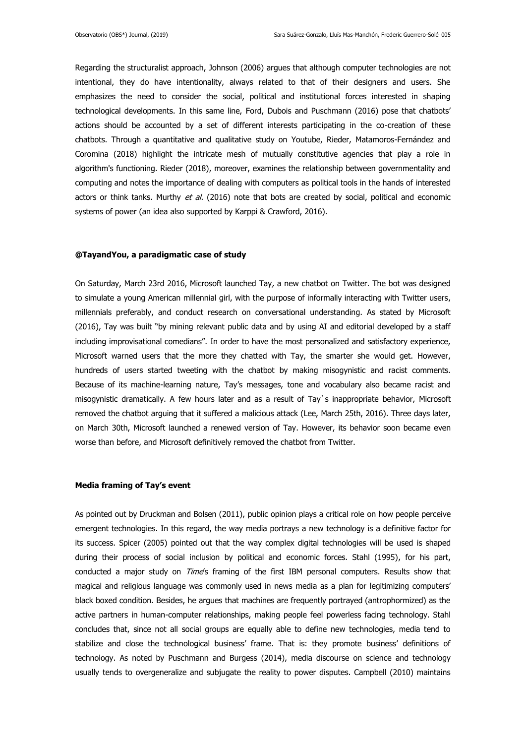Regarding the structuralist approach, Johnson (2006) argues that although computer technologies are not intentional, they do have intentionality, always related to that of their designers and users. She emphasizes the need to consider the social, political and institutional forces interested in shaping technological developments. In this same line, Ford, Dubois and Puschmann (2016) pose that chatbots' actions should be accounted by a set of different interests participating in the co-creation of these chatbots. Through a quantitative and qualitative study on Youtube, Rieder, Matamoros-Fernández and Coromina (2018) highlight the intricate mesh of mutually constitutive agencies that play a role in algorithm's functioning. Rieder (2018), moreover, examines the relationship between governmentality and computing and notes the importance of dealing with computers as political tools in the hands of interested actors or think tanks. Murthy et al. (2016) note that bots are created by social, political and economic systems of power (an idea also supported by Karppi & Crawford, 2016).

### **@TayandYou, a paradigmatic case of study**

On Saturday, March 23rd 2016, Microsoft launched Tay, a new chatbot on Twitter. The bot was designed to simulate a young American millennial girl, with the purpose of informally interacting with Twitter users, millennials preferably, and conduct research on conversational understanding. As stated by Microsoft (2016), Tay was built "by mining relevant public data and by using AI and editorial developed by a staff including improvisational comedians". In order to have the most personalized and satisfactory experience, Microsoft warned users that the more they chatted with Tay, the smarter she would get. However, hundreds of users started tweeting with the chatbot by making misogynistic and racist comments. Because of its machine-learning nature, Tay's messages, tone and vocabulary also became racist and misogynistic dramatically. A few hours later and as a result of Tay`s inappropriate behavior, Microsoft removed the chatbot arguing that it suffered a malicious attack (Lee, March 25th, 2016). Three days later, on March 30th, Microsoft launched a renewed version of Tay. However, its behavior soon became even worse than before, and Microsoft definitively removed the chatbot from Twitter.

#### **Media framing of Tay's event**

As pointed out by Druckman and Bolsen (2011), public opinion plays a critical role on how people perceive emergent technologies. In this regard, the way media portrays a new technology is a definitive factor for its success. Spicer (2005) pointed out that the way complex digital technologies will be used is shaped during their process of social inclusion by political and economic forces. Stahl (1995), for his part, conducted a major study on Time's framing of the first IBM personal computers. Results show that magical and religious language was commonly used in news media as a plan for legitimizing computers' black boxed condition. Besides, he argues that machines are frequently portrayed (antrophormized) as the active partners in human-computer relationships, making people feel powerless facing technology. Stahl concludes that, since not all social groups are equally able to define new technologies, media tend to stabilize and close the technological business' frame. That is: they promote business' definitions of technology. As noted by Puschmann and Burgess (2014), media discourse on science and technology usually tends to overgeneralize and subjugate the reality to power disputes. Campbell (2010) maintains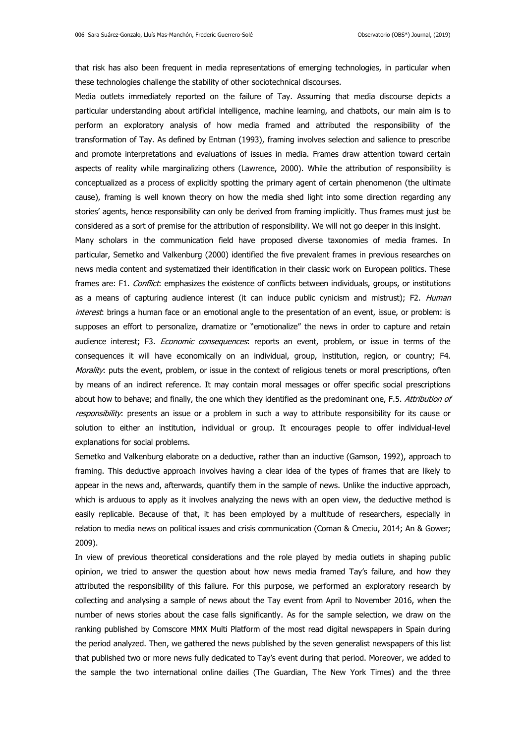that risk has also been frequent in media representations of emerging technologies, in particular when these technologies challenge the stability of other sociotechnical discourses.

Media outlets immediately reported on the failure of Tay. Assuming that media discourse depicts a particular understanding about artificial intelligence, machine learning, and chatbots, our main aim is to perform an exploratory analysis of how media framed and attributed the responsibility of the transformation of Tay. As defined by Entman (1993), framing involves selection and salience to prescribe and promote interpretations and evaluations of issues in media. Frames draw attention toward certain aspects of reality while marginalizing others (Lawrence, 2000). While the attribution of responsibility is conceptualized as a process of explicitly spotting the primary agent of certain phenomenon (the ultimate cause), framing is well known theory on how the media shed light into some direction regarding any stories' agents, hence responsibility can only be derived from framing implicitly. Thus frames must just be considered as a sort of premise for the attribution of responsibility. We will not go deeper in this insight.

Many scholars in the communication field have proposed diverse taxonomies of media frames. In particular, Semetko and Valkenburg (2000) identified the five prevalent frames in previous researches on news media content and systematized their identification in their classic work on European politics. These frames are: F1. Conflict: emphasizes the existence of conflicts between individuals, groups, or institutions as a means of capturing audience interest (it can induce public cynicism and mistrust); F2. Human interest: brings a human face or an emotional angle to the presentation of an event, issue, or problem: is supposes an effort to personalize, dramatize or "emotionalize" the news in order to capture and retain audience interest; F3. Economic consequences: reports an event, problem, or issue in terms of the consequences it will have economically on an individual, group, institution, region, or country; F4. Morality: puts the event, problem, or issue in the context of religious tenets or moral prescriptions, often by means of an indirect reference. It may contain moral messages or offer specific social prescriptions about how to behave; and finally, the one which they identified as the predominant one, F.5. Attribution of responsibility: presents an issue or a problem in such a way to attribute responsibility for its cause or solution to either an institution, individual or group. It encourages people to offer individual-level explanations for social problems.

Semetko and Valkenburg elaborate on a deductive, rather than an inductive (Gamson, 1992), approach to framing. This deductive approach involves having a clear idea of the types of frames that are likely to appear in the news and, afterwards, quantify them in the sample of news. Unlike the inductive approach, which is arduous to apply as it involves analyzing the news with an open view, the deductive method is easily replicable. Because of that, it has been employed by a multitude of researchers, especially in relation to media news on political issues and crisis communication (Coman & Cmeciu, 2014; An & Gower; 2009).

In view of previous theoretical considerations and the role played by media outlets in shaping public opinion, we tried to answer the question about how news media framed Tay's failure, and how they attributed the responsibility of this failure. For this purpose, we performed an exploratory research by collecting and analysing a sample of news about the Tay event from April to November 2016, when the number of news stories about the case falls significantly. As for the sample selection, we draw on the ranking published by Comscore MMX Multi Platform of the most read digital newspapers in Spain during the period analyzed. Then, we gathered the news published by the seven generalist newspapers of this list that published two or more news fully dedicated to Tay's event during that period. Moreover, we added to the sample the two international online dailies (The Guardian, The New York Times) and the three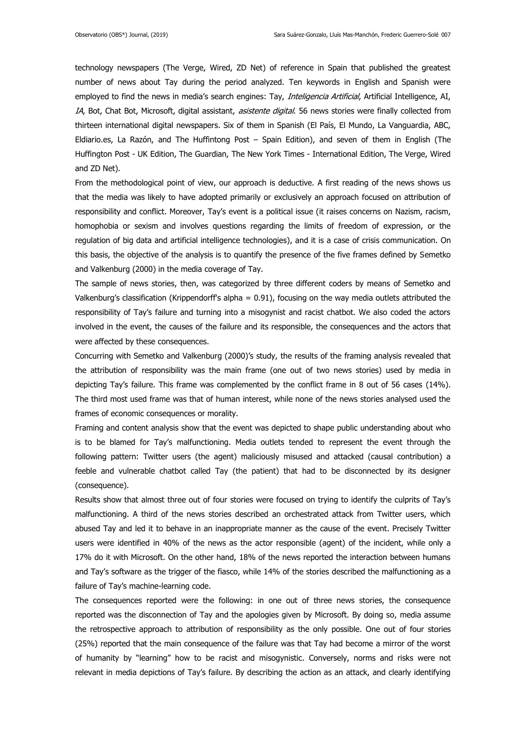technology newspapers (The Verge, Wired, ZD Net) of reference in Spain that published the greatest number of news about Tay during the period analyzed. Ten keywords in English and Spanish were employed to find the news in media's search engines: Tay, Inteligencia Artificial, Artificial Intelligence, AI, IA, Bot, Chat Bot, Microsoft, digital assistant, asistente digital. 56 news stories were finally collected from thirteen international digital newspapers. Six of them in Spanish (El País, El Mundo, La Vanguardia, ABC, Eldiario.es, La Razón, and The Huffintong Post – Spain Edition), and seven of them in English (The Huffington Post - UK Edition, The Guardian, The New York Times - International Edition, The Verge, Wired and ZD Net).

From the methodological point of view, our approach is deductive. A first reading of the news shows us that the media was likely to have adopted primarily or exclusively an approach focused on attribution of responsibility and conflict. Moreover, Tay's event is a political issue (it raises concerns on Nazism, racism, homophobia or sexism and involves questions regarding the limits of freedom of expression, or the regulation of big data and artificial intelligence technologies), and it is a case of crisis communication. On this basis, the objective of the analysis is to quantify the presence of the five frames defined by Semetko and Valkenburg (2000) in the media coverage of Tay.

The sample of news stories, then, was categorized by three different coders by means of Semetko and Valkenburg's classification (Krippendorff's alpha = 0.91), focusing on the way media outlets attributed the responsibility of Tay's failure and turning into a misogynist and racist chatbot. We also coded the actors involved in the event, the causes of the failure and its responsible, the consequences and the actors that were affected by these consequences.

Concurring with Semetko and Valkenburg (2000)'s study, the results of the framing analysis revealed that the attribution of responsibility was the main frame (one out of two news stories) used by media in depicting Tay's failure. This frame was complemented by the conflict frame in 8 out of 56 cases (14%). The third most used frame was that of human interest, while none of the news stories analysed used the frames of economic consequences or morality.

Framing and content analysis show that the event was depicted to shape public understanding about who is to be blamed for Tay's malfunctioning. Media outlets tended to represent the event through the following pattern: Twitter users (the agent) maliciously misused and attacked (causal contribution) a feeble and vulnerable chatbot called Tay (the patient) that had to be disconnected by its designer (consequence).

Results show that almost three out of four stories were focused on trying to identify the culprits of Tay's malfunctioning. A third of the news stories described an orchestrated attack from Twitter users, which abused Tay and led it to behave in an inappropriate manner as the cause of the event. Precisely Twitter users were identified in 40% of the news as the actor responsible (agent) of the incident, while only a 17% do it with Microsoft. On the other hand, 18% of the news reported the interaction between humans and Tay's software as the trigger of the fiasco, while 14% of the stories described the malfunctioning as a failure of Tay's machine-learning code.

The consequences reported were the following: in one out of three news stories, the consequence reported was the disconnection of Tay and the apologies given by Microsoft. By doing so, media assume the retrospective approach to attribution of responsibility as the only possible. One out of four stories (25%) reported that the main consequence of the failure was that Tay had become a mirror of the worst of humanity by "learning" how to be racist and misogynistic. Conversely, norms and risks were not relevant in media depictions of Tay's failure. By describing the action as an attack, and clearly identifying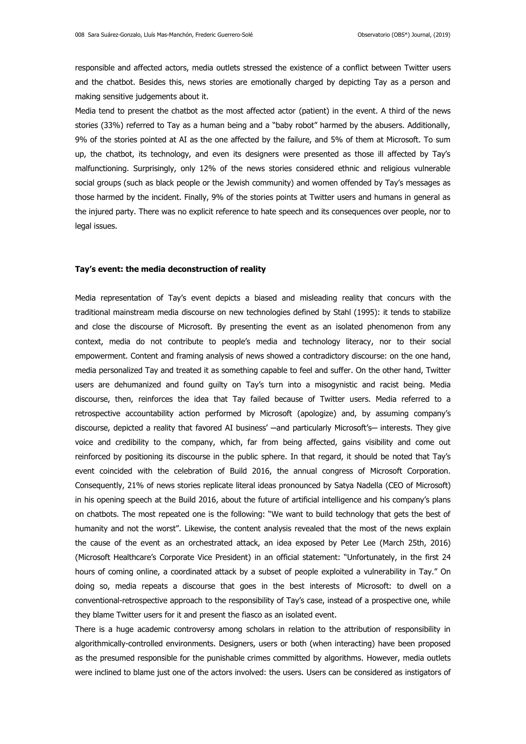responsible and affected actors, media outlets stressed the existence of a conflict between Twitter users and the chatbot. Besides this, news stories are emotionally charged by depicting Tay as a person and making sensitive judgements about it.

Media tend to present the chatbot as the most affected actor (patient) in the event. A third of the news stories (33%) referred to Tay as a human being and a "baby robot" harmed by the abusers. Additionally, 9% of the stories pointed at AI as the one affected by the failure, and 5% of them at Microsoft. To sum up, the chatbot, its technology, and even its designers were presented as those ill affected by Tay's malfunctioning. Surprisingly, only 12% of the news stories considered ethnic and religious vulnerable social groups (such as black people or the Jewish community) and women offended by Tay's messages as those harmed by the incident. Finally, 9% of the stories points at Twitter users and humans in general as the injured party. There was no explicit reference to hate speech and its consequences over people, nor to legal issues.

#### **Tay's event: the media deconstruction of reality**

Media representation of Tay's event depicts a biased and misleading reality that concurs with the traditional mainstream media discourse on new technologies defined by Stahl (1995): it tends to stabilize and close the discourse of Microsoft. By presenting the event as an isolated phenomenon from any context, media do not contribute to people's media and technology literacy, nor to their social empowerment. Content and framing analysis of news showed a contradictory discourse: on the one hand, media personalized Tay and treated it as something capable to feel and suffer. On the other hand, Twitter users are dehumanized and found guilty on Tay's turn into a misogynistic and racist being. Media discourse, then, reinforces the idea that Tay failed because of Twitter users. Media referred to a retrospective accountability action performed by Microsoft (apologize) and, by assuming company's discourse, depicted a reality that favored AI business' —and particularly Microsoft's— interests. They give voice and credibility to the company, which, far from being affected, gains visibility and come out reinforced by positioning its discourse in the public sphere. In that regard, it should be noted that Tay's event coincided with the celebration of Build 2016, the annual congress of Microsoft Corporation. Consequently, 21% of news stories replicate literal ideas pronounced by Satya Nadella (CEO of Microsoft) in his opening speech at the Build 2016, about the future of artificial intelligence and his company's plans on chatbots. The most repeated one is the following: "We want to build technology that gets the best of humanity and not the worst". Likewise, the content analysis revealed that the most of the news explain the cause of the event as an orchestrated attack, an idea exposed by Peter Lee (March 25th, 2016) (Microsoft Healthcare's Corporate Vice President) in an official statement: "Unfortunately, in the first 24 hours of coming online, a coordinated attack by a subset of people exploited a vulnerability in Tay." On doing so, media repeats a discourse that goes in the best interests of Microsoft: to dwell on a conventional-retrospective approach to the responsibility of Tay's case, instead of a prospective one, while they blame Twitter users for it and present the fiasco as an isolated event.

There is a huge academic controversy among scholars in relation to the attribution of responsibility in algorithmically-controlled environments. Designers, users or both (when interacting) have been proposed as the presumed responsible for the punishable crimes committed by algorithms. However, media outlets were inclined to blame just one of the actors involved: the users. Users can be considered as instigators of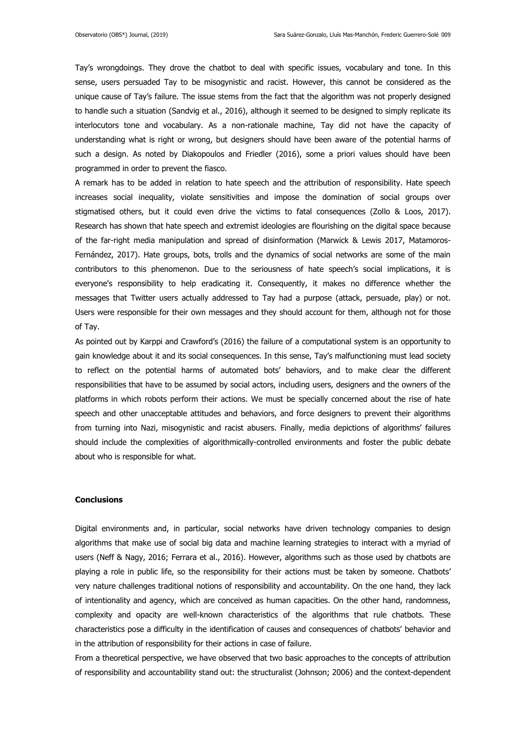Tay's wrongdoings. They drove the chatbot to deal with specific issues, vocabulary and tone. In this sense, users persuaded Tay to be misogynistic and racist. However, this cannot be considered as the unique cause of Tay's failure. The issue stems from the fact that the algorithm was not properly designed to handle such a situation (Sandvig et al., 2016), although it seemed to be designed to simply replicate its interlocutors tone and vocabulary. As a non-rationale machine, Tay did not have the capacity of understanding what is right or wrong, but designers should have been aware of the potential harms of such a design. As noted by Diakopoulos and Friedler (2016), some a priori values should have been programmed in order to prevent the fiasco.

A remark has to be added in relation to hate speech and the attribution of responsibility. Hate speech increases social inequality, violate sensitivities and impose the domination of social groups over stigmatised others, but it could even drive the victims to fatal consequences (Zollo & Loos, 2017). Research has shown that hate speech and extremist ideologies are flourishing on the digital space because of the far-right media manipulation and spread of disinformation (Marwick & Lewis 2017, Matamoros-Fernández, 2017). Hate groups, bots, trolls and the dynamics of social networks are some of the main contributors to this phenomenon. Due to the seriousness of hate speech's social implications, it is everyone's responsibility to help eradicating it. Consequently, it makes no difference whether the messages that Twitter users actually addressed to Tay had a purpose (attack, persuade, play) or not. Users were responsible for their own messages and they should account for them, although not for those of Tay.

As pointed out by Karppi and Crawford's (2016) the failure of a computational system is an opportunity to gain knowledge about it and its social consequences. In this sense, Tay's malfunctioning must lead society to reflect on the potential harms of automated bots' behaviors, and to make clear the different responsibilities that have to be assumed by social actors, including users, designers and the owners of the platforms in which robots perform their actions. We must be specially concerned about the rise of hate speech and other unacceptable attitudes and behaviors, and force designers to prevent their algorithms from turning into Nazi, misogynistic and racist abusers. Finally, media depictions of algorithms' failures should include the complexities of algorithmically-controlled environments and foster the public debate about who is responsible for what.

### **Conclusions**

Digital environments and, in particular, social networks have driven technology companies to design algorithms that make use of social big data and machine learning strategies to interact with a myriad of users (Neff & Nagy, 2016; Ferrara et al., 2016). However, algorithms such as those used by chatbots are playing a role in public life, so the responsibility for their actions must be taken by someone. Chatbots' very nature challenges traditional notions of responsibility and accountability. On the one hand, they lack of intentionality and agency, which are conceived as human capacities. On the other hand, randomness, complexity and opacity are well-known characteristics of the algorithms that rule chatbots. These characteristics pose a difficulty in the identification of causes and consequences of chatbots' behavior and in the attribution of responsibility for their actions in case of failure.

From a theoretical perspective, we have observed that two basic approaches to the concepts of attribution of responsibility and accountability stand out: the structuralist (Johnson; 2006) and the context-dependent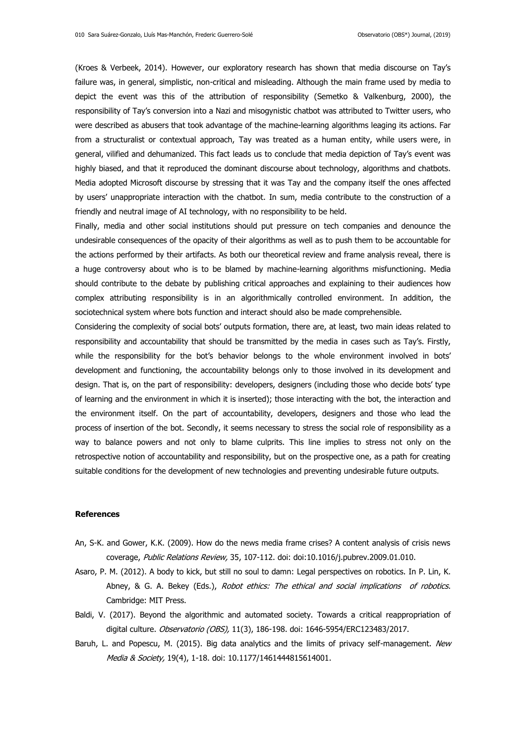(Kroes & Verbeek, 2014). However, our exploratory research has shown that media discourse on Tay's failure was, in general, simplistic, non-critical and misleading. Although the main frame used by media to depict the event was this of the attribution of responsibility (Semetko & Valkenburg, 2000), the responsibility of Tay's conversion into a Nazi and misogynistic chatbot was attributed to Twitter users, who were described as abusers that took advantage of the machine-learning algorithms leaging its actions. Far from a structuralist or contextual approach, Tay was treated as a human entity, while users were, in general, vilified and dehumanized. This fact leads us to conclude that media depiction of Tay's event was highly biased, and that it reproduced the dominant discourse about technology, algorithms and chatbots. Media adopted Microsoft discourse by stressing that it was Tay and the company itself the ones affected by users' unappropriate interaction with the chatbot. In sum, media contribute to the construction of a friendly and neutral image of AI technology, with no responsibility to be held.

Finally, media and other social institutions should put pressure on tech companies and denounce the undesirable consequences of the opacity of their algorithms as well as to push them to be accountable for the actions performed by their artifacts. As both our theoretical review and frame analysis reveal, there is a huge controversy about who is to be blamed by machine-learning algorithms misfunctioning. Media should contribute to the debate by publishing critical approaches and explaining to their audiences how complex attributing responsibility is in an algorithmically controlled environment. In addition, the sociotechnical system where bots function and interact should also be made comprehensible.

Considering the complexity of social bots' outputs formation, there are, at least, two main ideas related to responsibility and accountability that should be transmitted by the media in cases such as Tay's. Firstly, while the responsibility for the bot's behavior belongs to the whole environment involved in bots' development and functioning, the accountability belongs only to those involved in its development and design. That is, on the part of responsibility: developers, designers (including those who decide bots' type of learning and the environment in which it is inserted); those interacting with the bot, the interaction and the environment itself. On the part of accountability, developers, designers and those who lead the process of insertion of the bot. Secondly, it seems necessary to stress the social role of responsibility as a way to balance powers and not only to blame culprits. This line implies to stress not only on the retrospective notion of accountability and responsibility, but on the prospective one, as a path for creating suitable conditions for the development of new technologies and preventing undesirable future outputs.

## **References**

- An, S-K. and Gower, K.K. (2009). How do the news media frame crises? A content analysis of crisis news coverage, Public Relations Review, 35, 107-112. doi: doi:10.1016/j.pubrev.2009.01.010.
- Asaro, P. M. (2012). A body to kick, but still no soul to damn: Legal perspectives on robotics. In P. Lin, K. Abney, & G. A. Bekey (Eds.), Robot ethics: The ethical and social implications of robotics. Cambridge: MIT Press.
- Baldi, V. (2017). Beyond the algorithmic and automated society. Towards a critical reappropriation of digital culture. Observatorio (OBS), 11(3), 186-198. doi: 1646-5954/ERC123483/2017.
- Baruh, L. and Popescu, M. (2015). Big data analytics and the limits of privacy self-management. New Media & Society, 19(4), 1-18. doi: 10.1177/1461444815614001.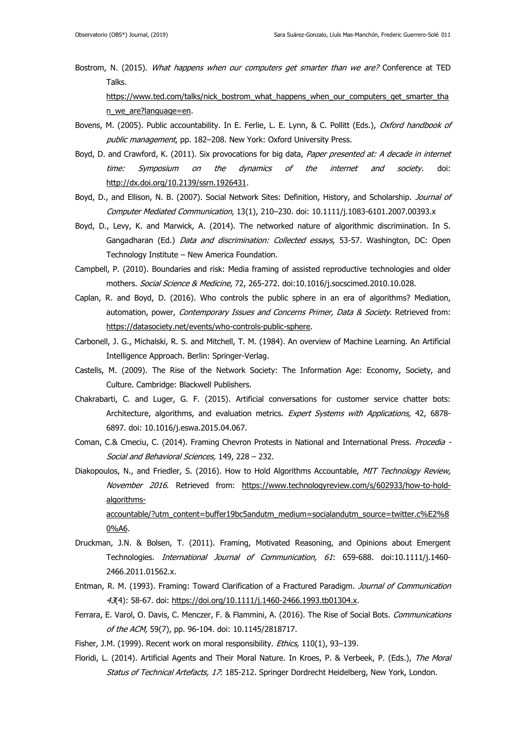Bostrom, N. (2015). What happens when our computers get smarter than we are? Conference at TED Talks. [https://www.ted.com/talks/nick\\_bostrom\\_what\\_happens\\_when\\_our\\_computers\\_get\\_smarter\\_tha](https://www.ted.com/talks/nick_bostrom_what_happens_when_our_computers_get_smarter_than_we_are?language=en)

[n\\_we\\_are?language=en.](https://www.ted.com/talks/nick_bostrom_what_happens_when_our_computers_get_smarter_than_we_are?language=en) 

- Bovens, M. (2005). Public accountability. In E. Ferlie, L. E. Lynn, & C. Pollitt (Eds.), Oxford handbook of public management, pp. 182-208. New York: Oxford University Press.
- Boyd, D. and Crawford, K. (2011). Six provocations for big data, Paper presented at: A decade in internet time: Symposium on the dynamics of the internet and society. doi: [http://dx.doi.org/10.2139/ssrn.1926431.](http://dx.doi.org/10.2139/ssrn.1926431)
- Boyd, D., and Ellison, N. B. (2007). Social Network Sites: Definition, History, and Scholarship. Journal of Computer Mediated Communication, 13(1), 210–230. doi: 10.1111/j.1083-6101.2007.00393.x
- Boyd, D., Levy, K. and Marwick, A. (2014). The networked nature of algorithmic discrimination. In S. Gangadharan (Ed.) Data and discrimination: Collected essays, 53-57. Washington, DC: Open Technology Institute – New America Foundation.
- Campbell, P. (2010). Boundaries and risk: Media framing of assisted reproductive technologies and older mothers. Social Science & Medicine, 72, 265-272. doi:10.1016/j.socscimed.2010.10.028.
- Caplan, R. and Boyd, D. (2016). Who controls the public sphere in an era of algorithms? Mediation, automation, power, Contemporary Issues and Concerns Primer, Data & Society. Retrieved from: [https://datasociety.net/events/who-controls-public-sphere.](https://datasociety.net/events/who-controls-public-sphere)
- Carbonell, J. G., Michalski, R. S. and Mitchell, T. M. (1984). An overview of Machine Learning. An Artificial Intelligence Approach. Berlin: Springer-Verlag.
- Castells, M. (2009). The Rise of the Network Society: The Information Age: Economy, Society, and Culture. Cambridge: Blackwell Publishers.
- Chakrabarti, C. and Luger, G. F. (2015). Artificial conversations for customer service chatter bots: Architecture, algorithms, and evaluation metrics. Expert Systems with Applications, 42, 6878-6897. doi: 10.1016/j.eswa.2015.04.067.
- Coman, C.& Cmeciu, C. (2014). Framing Chevron Protests in National and International Press. Procedia -Social and Behavioral Sciences, 149, 228 – 232.
- Diakopoulos, N., and Friedler, S. (2016). How to Hold Algorithms Accountable, MIT Technology Review, November 2016. Retrieved from: [https://www.technologyreview.com/s/602933/how-to-hold](https://www.technologyreview.com/s/602933/how-to-hold-algorithms-accountable/?utm_content=buffer19bc5andutm_medium=socialandutm_source=twitter.c%E2%80%A6)[algorithms-](https://www.technologyreview.com/s/602933/how-to-hold-algorithms-accountable/?utm_content=buffer19bc5andutm_medium=socialandutm_source=twitter.c%E2%80%A6)

[accountable/?utm\\_content=buffer19bc5andutm\\_medium=socialandutm\\_source=twitter.c%E2%8](https://www.technologyreview.com/s/602933/how-to-hold-algorithms-accountable/?utm_content=buffer19bc5andutm_medium=socialandutm_source=twitter.c%E2%80%A6) [0%A6.](https://www.technologyreview.com/s/602933/how-to-hold-algorithms-accountable/?utm_content=buffer19bc5andutm_medium=socialandutm_source=twitter.c%E2%80%A6)

- Druckman, J.N. & Bolsen, T. (2011). Framing, Motivated Reasoning, and Opinions about Emergent Technologies. International Journal of Communication, 61: 659-688. doi:10.1111/j.1460- 2466.2011.01562.x.
- Entman, R. M. (1993). Framing: Toward Clarification of a Fractured Paradigm. Journal of Communication 43(4): 58-67. doi: [https://doi.org/10.1111/j.1460-2466.1993.tb01304.x.](https://doi.org/10.1111/j.1460-2466.1993.tb01304.x)
- Ferrara, E. Varol, O. Davis, C. Menczer, F. & Flammini, A. (2016). The Rise of Social Bots. Communications of the ACM, 59(7), pp. 96-104. doi: 10.1145/2818717.
- Fisher, J.M. (1999). Recent work on moral responsibility. Ethics, 110(1), 93-139.
- Floridi, L. (2014). Artificial Agents and Their Moral Nature. In Kroes, P. & Verbeek, P. (Eds.), The Moral Status of Technical Artefacts, 17: 185-212. Springer Dordrecht Heidelberg, New York, London.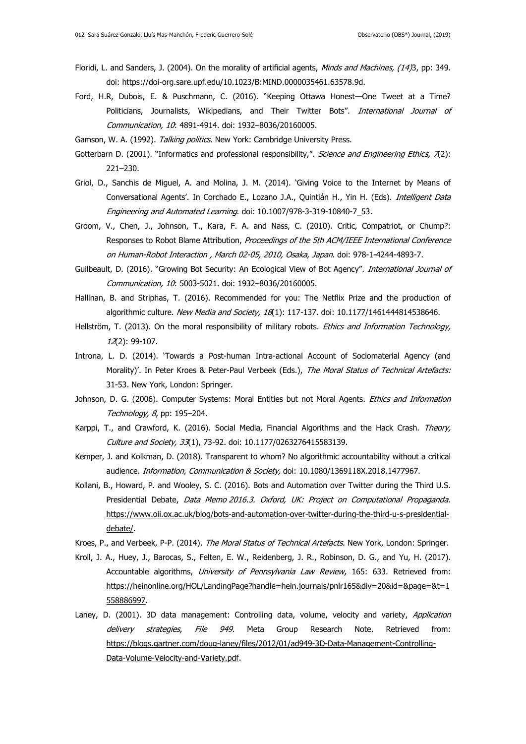- Floridi, L. and Sanders, J. (2004). On the morality of artificial agents, Minds and Machines, (14)3, pp: 349. doi: https://doi-org.sare.upf.edu/10.1023/B:MIND.0000035461.63578.9d.
- Ford, H.R, Dubois, E. & Puschmann, C. (2016). "Keeping Ottawa Honest—One Tweet at a Time? Politicians, Journalists, Wikipedians, and Their Twitter Bots". International Journal of Communication, 10: 4891-4914. doi: 1932–8036/20160005.

Gamson, W. A. (1992). Talking politics. New York: Cambridge University Press.

- Gotterbarn D. (2001). "Informatics and professional responsibility,". Science and Engineering Ethics, 7(2): 221–230.
- Griol, D., Sanchis de Miguel, A. and Molina, J. M. (2014). 'Giving Voice to the Internet by Means of Conversational Agents'. In Corchado E., Lozano J.A., Quintián H., Yin H. (Eds). Intelligent Data Engineering and Automated Learning. doi: 10.1007/978-3-319-10840-7 53.
- Groom, V., Chen, J., Johnson, T., Kara, F. A. and Nass, C. (2010). Critic, Compatriot, or Chump?: Responses to Robot Blame Attribution, Proceedings of the 5th ACM/IEEE International Conference on Human-Robot Interaction , March 02-05, 2010, Osaka, Japan. doi: 978-1-4244-4893-7.
- Guilbeault, D. (2016). "Growing Bot Security: An Ecological View of Bot Agency". International Journal of Communication, 10: 5003-5021. doi: 1932–8036/20160005.
- Hallinan, B. and Striphas, T. (2016). Recommended for you: The Netflix Prize and the production of algorithmic culture. New Media and Society, 18(1): 117-137. doi: 10.1177/1461444814538646.
- Hellström, T. (2013). On the moral responsibility of military robots. *Ethics and Information Technology*, 12(2): 99-107.
- Introna, L. D. (2014). 'Towards a Post-human Intra-actional Account of Sociomaterial Agency (and Morality)'. In Peter Kroes & Peter-Paul Verbeek (Eds.), The Moral Status of Technical Artefacts: 31-53. New York, London: Springer.
- Johnson, D. G. (2006). Computer Systems: Moral Entities but not Moral Agents. Ethics and Information Technology, 8, pp: 195–204.
- Karppi, T., and Crawford, K. (2016). Social Media, Financial Algorithms and the Hack Crash. Theory, Culture and Society, 33(1), 73-92. doi: 10.1177/0263276415583139.
- Kemper, J. and Kolkman, D. (2018). Transparent to whom? No algorithmic accountability without a critical audience. *Information, Communication & Society*, doi: 10.1080/1369118X.2018.1477967.
- Kollani, B., Howard, P. and Wooley, S. C. (2016). Bots and Automation over Twitter during the Third U.S. Presidential Debate, Data Memo 2016.3. Oxford, UK: Project on Computational Propaganda. [https://www.oii.ox.ac.uk/blog/bots-and-automation-over-twitter-during-the-third-u-s-presidential](https://www.oii.ox.ac.uk/blog/bots-and-automation-over-twitter-during-the-third-u-s-presidential-debate/)[debate/.](https://www.oii.ox.ac.uk/blog/bots-and-automation-over-twitter-during-the-third-u-s-presidential-debate/)
- Kroes, P., and Verbeek, P-P. (2014). The Moral Status of Technical Artefacts. New York, London: Springer.
- Kroll, J. A., Huey, J., Barocas, S., Felten, E. W., Reidenberg, J. R., Robinson, D. G., and Yu, H. (2017). Accountable algorithms, University of Pennsylvania Law Review, 165: 633. Retrieved from: [https://heinonline.org/HOL/LandingPage?handle=hein.journals/pnlr165&div=20&id=&page=&t=1](https://heinonline.org/HOL/LandingPage?handle=hein.journals/pnlr165&div=20&id=&page=&t=1558886997) [558886997.](https://heinonline.org/HOL/LandingPage?handle=hein.journals/pnlr165&div=20&id=&page=&t=1558886997)
- Laney, D. (2001). 3D data management: Controlling data, volume, velocity and variety, Application delivery strategies, File 949. Meta Group Research Note. Retrieved from: [https://blogs.gartner.com/doug-laney/files/2012/01/ad949-3D-Data-Management-Controlling-](https://blogs.gartner.com/doug-laney/files/2012/01/ad949-3D-Data-Management-Controlling-Data-Volume-Velocity-and-Variety.pdf)[Data-Volume-Velocity-and-Variety.pdf.](https://blogs.gartner.com/doug-laney/files/2012/01/ad949-3D-Data-Management-Controlling-Data-Volume-Velocity-and-Variety.pdf)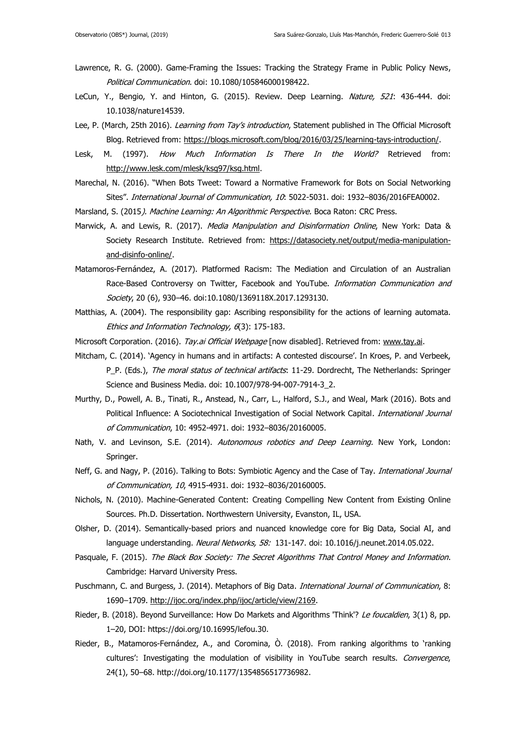- Lawrence, R. G. (2000). Game-Framing the Issues: Tracking the Strategy Frame in Public Policy News, Political Communication. doi: 10.1080/105846000198422.
- LeCun, Y., Bengio, Y. and Hinton, G. (2015). Review. Deep Learning. Nature, 521: 436-444. doi: 10.1038/nature14539.
- Lee, P. (March, 25th 2016). Learning from Tay's introduction, Statement published in The Official Microsoft Blog. Retrieved from: [https://blogs.microsoft.com/blog/2016/03/25/learning-tays-introduction/.](https://blogs.microsoft.com/blog/2016/03/25/learning-tays-introduction/)
- Lesk, M. (1997). How Much Information Is There In the World? Retrieved from: [http://www.lesk.com/mlesk/ksg97/ksg.html.](http://www.lesk.com/mlesk/ksg97/ksg.html)
- Marechal, N. (2016). "When Bots Tweet: Toward a Normative Framework for Bots on Social Networking Sites". International Journal of Communication, 10: 5022-5031. doi: 1932-8036/2016FEA0002.
- Marsland, S. (2015*). Machine Learning: An Algorithmic Perspective.* Boca Raton: CRC Press.
- Marwick, A. and Lewis, R. (2017). Media Manipulation and Disinformation Online, New York: Data & Society Research Institute. Retrieved from: [https://datasociety.net/output/media-manipulation](https://datasociety.net/output/media-manipulation-and-disinfo-online/)[and-disinfo-online/.](https://datasociety.net/output/media-manipulation-and-disinfo-online/)
- Matamoros-Fernández, A. (2017). Platformed Racism: The Mediation and Circulation of an Australian Race-Based Controversy on Twitter, Facebook and YouTube. Information Communication and Society, 20 (6), 930-46. doi:10.1080/1369118X.2017.1293130.
- Matthias, A. (2004). The responsibility gap: Ascribing responsibility for the actions of learning automata. Ethics and Information Technology, 6(3): 175-183.
- Microsoft Corporation. (2016). Tay.ai Official Webpage [now disabled]. Retrieved from: [www.tay.ai.](http://www.tay.ai/)
- Mitcham, C. (2014). 'Agency in humans and in artifacts: A contested discourse'. In Kroes, P. and Verbeek, P\_P. (Eds.), The moral status of technical artifacts: 11-29. Dordrecht, The Netherlands: Springer Science and Business Media. doi: 10.1007/978-94-007-7914-3\_2.
- Murthy, D., Powell, A. B., Tinati, R., Anstead, N., Carr, L., Halford, S.J., and Weal, Mark (2016). Bots and Political Influence: A Sociotechnical Investigation of Social Network Capital. International Journal of Communication, 10: 4952-4971. doi: 1932–8036/20160005.
- Nath, V. and Levinson, S.E. (2014). Autonomous robotics and Deep Learning. New York, London: Springer.
- Neff, G. and Nagy, P. (2016). Talking to Bots: Symbiotic Agency and the Case of Tay. *International Journal* of Communication, 10, 4915-4931. doi: 1932–8036/20160005.
- Nichols, N. (2010). Machine-Generated Content: Creating Compelling New Content from Existing Online Sources. Ph.D. Dissertation. Northwestern University, Evanston, IL, USA.
- Olsher, D. (2014). Semantically-based priors and nuanced knowledge core for Big Data, Social AI, and language understanding. Neural Networks, 58: 131-147. doi: 10.1016/j.neunet.2014.05.022.
- Pasquale, F. (2015). The Black Box Society: The Secret Algorithms That Control Money and Information. Cambridge: Harvard University Press.
- Puschmann, C. and Burgess, J. (2014). Metaphors of Big Data. International Journal of Communication, 8: 1690–1709. [http://ijoc.org/index.php/ijoc/article/view/2169.](http://ijoc.org/index.php/ijoc/article/view/2169)
- Rieder, B. (2018). Beyond Surveillance: How Do Markets and Algorithms 'Think'? Le foucaldien, 3(1) 8, pp. 1–20, DOI: https://doi.org/10.16995/lefou.30.
- Rieder, B., Matamoros-Fernández, A., and Coromina, Ò. (2018). From ranking algorithms to 'ranking cultures': Investigating the modulation of visibility in YouTube search results. Convergence, 24(1), 50–68. http://doi.org/10.1177/1354856517736982.